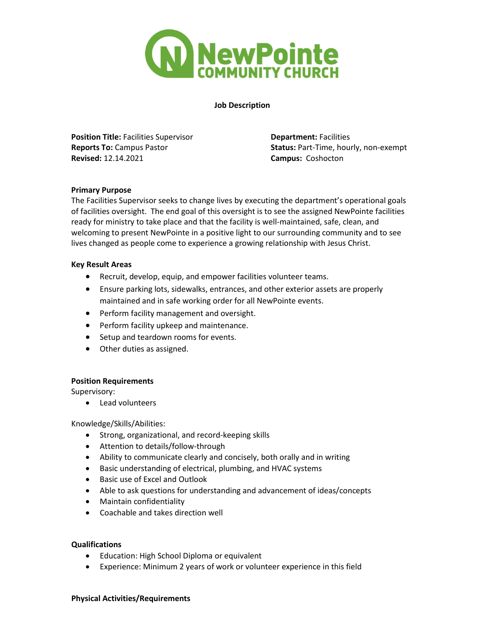

**Job Description**

**Position Title:** Facilities Supervisor **Department:** Facilities **Revised:** 12.14.2021 **Campus:** Coshocton

**Reports To:** Campus Pastor **Status:** Part-Time, hourly, non-exempt

## **Primary Purpose**

The Facilities Supervisor seeks to change lives by executing the department's operational goals of facilities oversight. The end goal of this oversight is to see the assigned NewPointe facilities ready for ministry to take place and that the facility is well-maintained, safe, clean, and welcoming to present NewPointe in a positive light to our surrounding community and to see lives changed as people come to experience a growing relationship with Jesus Christ.

#### **Key Result Areas**

- Recruit, develop, equip, and empower facilities volunteer teams.
- Ensure parking lots, sidewalks, entrances, and other exterior assets are properly maintained and in safe working order for all NewPointe events.
- Perform facility management and oversight.
- Perform facility upkeep and maintenance.
- Setup and teardown rooms for events.
- Other duties as assigned.

## **Position Requirements**

Supervisory:

• Lead volunteers

## Knowledge/Skills/Abilities:

- Strong, organizational, and record-keeping skills
- Attention to details/follow-through
- Ability to communicate clearly and concisely, both orally and in writing
- Basic understanding of electrical, plumbing, and HVAC systems
- Basic use of Excel and Outlook
- Able to ask questions for understanding and advancement of ideas/concepts
- Maintain confidentiality
- Coachable and takes direction well

## **Qualifications**

- Education: High School Diploma or equivalent
- Experience: Minimum 2 years of work or volunteer experience in this field

#### **Physical Activities/Requirements**